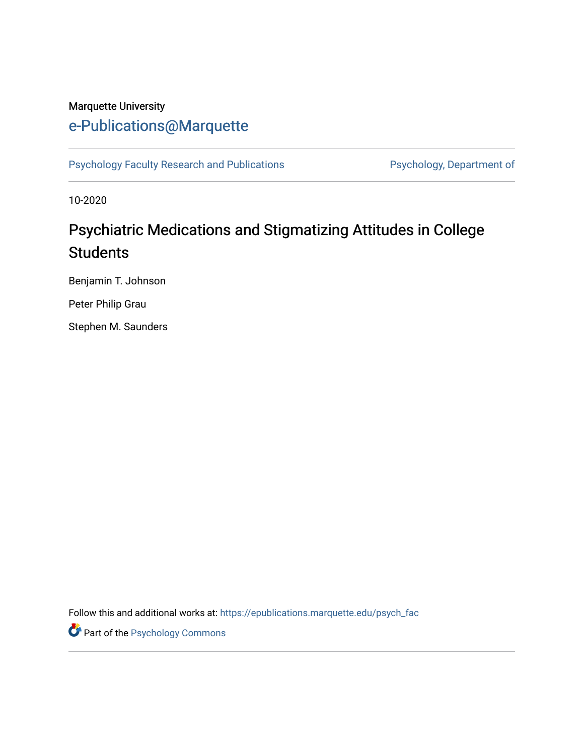## Marquette University [e-Publications@Marquette](https://epublications.marquette.edu/)

[Psychology Faculty Research and Publications](https://epublications.marquette.edu/psych_fac) Psychology, Department of

10-2020

# Psychiatric Medications and Stigmatizing Attitudes in College **Students**

Benjamin T. Johnson Peter Philip Grau

Stephen M. Saunders

Follow this and additional works at: [https://epublications.marquette.edu/psych\\_fac](https://epublications.marquette.edu/psych_fac?utm_source=epublications.marquette.edu%2Fpsych_fac%2F475&utm_medium=PDF&utm_campaign=PDFCoverPages)

**Part of the Psychology Commons**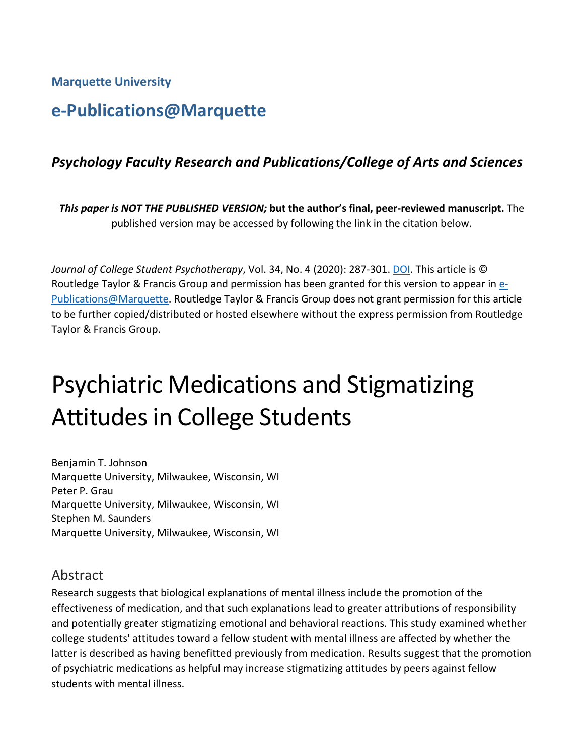**Marquette University**

## **e-Publications@Marquette**

## *Psychology Faculty Research and Publications/College of Arts and Sciences*

*This paper is NOT THE PUBLISHED VERSION;* **but the author's final, peer-reviewed manuscript.** The published version may be accessed by following the link in the citation below.

*Journal of College Student Psychotherapy*, Vol. 34, No. 4 (2020): 287-301. [DOI.](https://doi.org/10.1080/87568225.2019.1600092) This article is © Routledge Taylor & Francis Group and permission has been granted for this version to appear in [e-](http://epublications.marquette.edu/)[Publications@Marquette.](http://epublications.marquette.edu/) Routledge Taylor & Francis Group does not grant permission for this article to be further copied/distributed or hosted elsewhere without the express permission from Routledge Taylor & Francis Group.

# Psychiatric Medications and Stigmatizing Attitudes in College Students

Benjamin T. Johnson Marquette University, Milwaukee, Wisconsin, WI Peter P. Grau Marquette University, Milwaukee, Wisconsin, WI Stephen M. Saunders Marquette University, Milwaukee, Wisconsin, WI

## Abstract

Research suggests that biological explanations of mental illness include the promotion of the effectiveness of medication, and that such explanations lead to greater attributions of responsibility and potentially greater stigmatizing emotional and behavioral reactions. This study examined whether college students' attitudes toward a fellow student with mental illness are affected by whether the latter is described as having benefitted previously from medication. Results suggest that the promotion of psychiatric medications as helpful may increase stigmatizing attitudes by peers against fellow students with mental illness.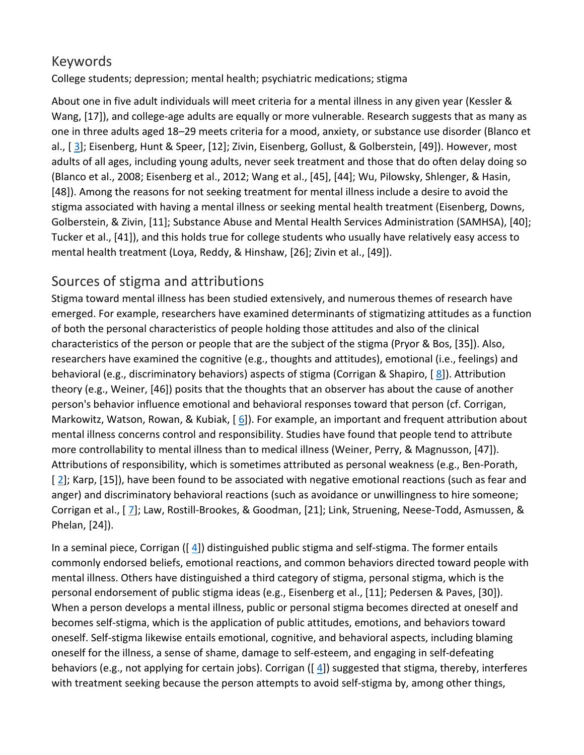## Keywords

College students; depression; mental health; psychiatric medications; stigma

About one in five adult individuals will meet criteria for a mental illness in any given year (Kessler & Wang, [17]), and college-age adults are equally or more vulnerable. Research suggests that as many as one in three adults aged 18–29 meets criteria for a mood, anxiety, or substance use disorder (Blanco et al., [[3\]](https://0-web-b-ebscohost-com.libus.csd.mu.edu/ehost/detail/detail?vid=0&sid=80b2aaac-2094-4b6a-a562-66d4997e4085%40pdc-v-sessmgr03&bdata=JnNpdGU9ZWhvc3QtbGl2ZSZzY29wZT1zaXRl#bib3); Eisenberg, Hunt & Speer, [12]; Zivin, Eisenberg, Gollust, & Golberstein, [49]). However, most adults of all ages, including young adults, never seek treatment and those that do often delay doing so (Blanco et al., 2008; Eisenberg et al., 2012; Wang et al., [45], [44]; Wu, Pilowsky, Shlenger, & Hasin, [48]). Among the reasons for not seeking treatment for mental illness include a desire to avoid the stigma associated with having a mental illness or seeking mental health treatment (Eisenberg, Downs, Golberstein, & Zivin, [11]; Substance Abuse and Mental Health Services Administration (SAMHSA), [40]; Tucker et al., [41]), and this holds true for college students who usually have relatively easy access to mental health treatment (Loya, Reddy, & Hinshaw, [26]; Zivin et al., [49]).

## [Sources of stigma and attributions](https://0-web-b-ebscohost-com.libus.csd.mu.edu/ehost/detail/detail?vid=0&sid=80b2aaac-2094-4b6a-a562-66d4997e4085%40pdc-v-sessmgr03&bdata=JnNpdGU9ZWhvc3QtbGl2ZSZzY29wZT1zaXRl#toc)

Stigma toward mental illness has been studied extensively, and numerous themes of research have emerged. For example, researchers have examined determinants of stigmatizing attitudes as a function of both the personal characteristics of people holding those attitudes and also of the clinical characteristics of the person or people that are the subject of the stigma (Pryor & Bos, [35]). Also, researchers have examined the cognitive (e.g., thoughts and attitudes), emotional (i.e., feelings) and behavioral (e.g., discriminatory behaviors) aspects of stigma (Corrigan & Shapiro, [ [8\]](https://0-web-b-ebscohost-com.libus.csd.mu.edu/ehost/detail/detail?vid=0&sid=80b2aaac-2094-4b6a-a562-66d4997e4085%40pdc-v-sessmgr03&bdata=JnNpdGU9ZWhvc3QtbGl2ZSZzY29wZT1zaXRl#bib8)). Attribution theory (e.g., Weiner, [46]) posits that the thoughts that an observer has about the cause of another person's behavior influence emotional and behavioral responses toward that person (cf. Corrigan, Markowitz, Watson, Rowan, & Kubiak, [[6\]](https://0-web-b-ebscohost-com.libus.csd.mu.edu/ehost/detail/detail?vid=0&sid=80b2aaac-2094-4b6a-a562-66d4997e4085%40pdc-v-sessmgr03&bdata=JnNpdGU9ZWhvc3QtbGl2ZSZzY29wZT1zaXRl#bib6)). For example, an important and frequent attribution about mental illness concerns control and responsibility. Studies have found that people tend to attribute more controllability to mental illness than to medical illness (Weiner, Perry, & Magnusson, [47]). Attributions of responsibility, which is sometimes attributed as personal weakness (e.g., Ben-Porath, [[2\]](https://0-web-b-ebscohost-com.libus.csd.mu.edu/ehost/detail/detail?vid=0&sid=80b2aaac-2094-4b6a-a562-66d4997e4085%40pdc-v-sessmgr03&bdata=JnNpdGU9ZWhvc3QtbGl2ZSZzY29wZT1zaXRl#bib2); Karp, [15]), have been found to be associated with negative emotional reactions (such as fear and anger) and discriminatory behavioral reactions (such as avoidance or unwillingness to hire someone; Corrigan et al., [ [7\]](https://0-web-b-ebscohost-com.libus.csd.mu.edu/ehost/detail/detail?vid=0&sid=80b2aaac-2094-4b6a-a562-66d4997e4085%40pdc-v-sessmgr03&bdata=JnNpdGU9ZWhvc3QtbGl2ZSZzY29wZT1zaXRl#bib7); Law, Rostill-Brookes, & Goodman, [21]; Link, Struening, Neese-Todd, Asmussen, & Phelan, [24]).

In a seminal piece, Corrigan ( $[4]$  $[4]$ ) distinguished public stigma and self-stigma. The former entails commonly endorsed beliefs, emotional reactions, and common behaviors directed toward people with mental illness. Others have distinguished a third category of stigma, personal stigma, which is the personal endorsement of public stigma ideas (e.g., Eisenberg et al., [11]; Pedersen & Paves, [30]). When a person develops a mental illness, public or personal stigma becomes directed at oneself and becomes self-stigma, which is the application of public attitudes, emotions, and behaviors toward oneself. Self-stigma likewise entails emotional, cognitive, and behavioral aspects, including blaming oneself for the illness, a sense of shame, damage to self-esteem, and engaging in self-defeating behaviors (e.g., not applying for certain jobs). Corrigan ( $[4]$  $[4]$ ) suggested that stigma, thereby, interferes with treatment seeking because the person attempts to avoid self-stigma by, among other things,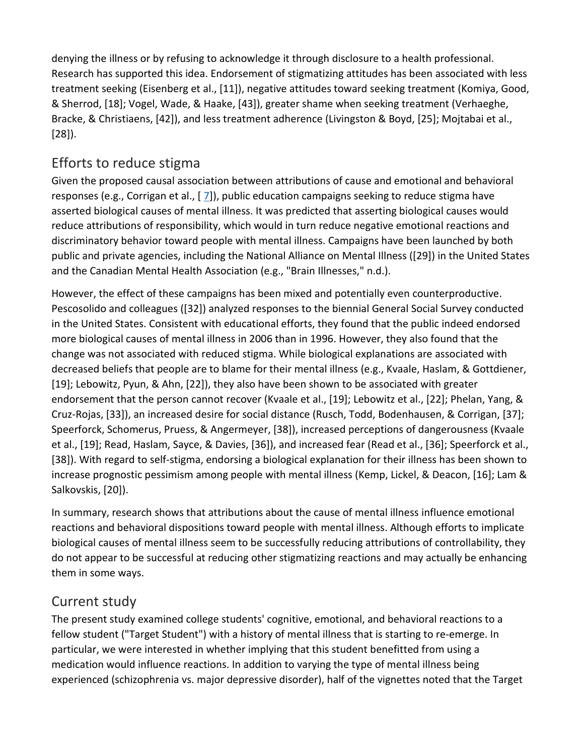denying the illness or by refusing to acknowledge it through disclosure to a health professional. Research has supported this idea. Endorsement of stigmatizing attitudes has been associated with less treatment seeking (Eisenberg et al., [11]), negative attitudes toward seeking treatment (Komiya, Good, & Sherrod, [18]; Vogel, Wade, & Haake, [43]), greater shame when seeking treatment (Verhaeghe, Bracke, & Christiaens, [42]), and less treatment adherence (Livingston & Boyd, [25]; Mojtabai et al., [28]).

## [Efforts to reduce stigma](https://0-web-b-ebscohost-com.libus.csd.mu.edu/ehost/detail/detail?vid=0&sid=80b2aaac-2094-4b6a-a562-66d4997e4085%40pdc-v-sessmgr03&bdata=JnNpdGU9ZWhvc3QtbGl2ZSZzY29wZT1zaXRl#toc)

Given the proposed causal association between attributions of cause and emotional and behavioral responses (e.g., Corrigan et al., [ [7\]](https://0-web-b-ebscohost-com.libus.csd.mu.edu/ehost/detail/detail?vid=0&sid=80b2aaac-2094-4b6a-a562-66d4997e4085%40pdc-v-sessmgr03&bdata=JnNpdGU9ZWhvc3QtbGl2ZSZzY29wZT1zaXRl#bib7)), public education campaigns seeking to reduce stigma have asserted biological causes of mental illness. It was predicted that asserting biological causes would reduce attributions of responsibility, which would in turn reduce negative emotional reactions and discriminatory behavior toward people with mental illness. Campaigns have been launched by both public and private agencies, including the National Alliance on Mental Illness ([29]) in the United States and the Canadian Mental Health Association (e.g., "Brain Illnesses," n.d.).

However, the effect of these campaigns has been mixed and potentially even counterproductive. Pescosolido and colleagues ([32]) analyzed responses to the biennial General Social Survey conducted in the United States. Consistent with educational efforts, they found that the public indeed endorsed more biological causes of mental illness in 2006 than in 1996. However, they also found that the change was not associated with reduced stigma. While biological explanations are associated with decreased beliefs that people are to blame for their mental illness (e.g., Kvaale, Haslam, & Gottdiener, [19]; Lebowitz, Pyun, & Ahn, [22]), they also have been shown to be associated with greater endorsement that the person cannot recover (Kvaale et al., [19]; Lebowitz et al., [22]; Phelan, Yang, & Cruz-Rojas, [33]), an increased desire for social distance (Rusch, Todd, Bodenhausen, & Corrigan, [37]; Speerforck, Schomerus, Pruess, & Angermeyer, [38]), increased perceptions of dangerousness (Kvaale et al., [19]; Read, Haslam, Sayce, & Davies, [36]), and increased fear (Read et al., [36]; Speerforck et al., [38]). With regard to self-stigma, endorsing a biological explanation for their illness has been shown to increase prognostic pessimism among people with mental illness (Kemp, Lickel, & Deacon, [16]; Lam & Salkovskis, [20]).

In summary, research shows that attributions about the cause of mental illness influence emotional reactions and behavioral dispositions toward people with mental illness. Although efforts to implicate biological causes of mental illness seem to be successfully reducing attributions of controllability, they do not appear to be successful at reducing other stigmatizing reactions and may actually be enhancing them in some ways.

## [Current study](https://0-web-b-ebscohost-com.libus.csd.mu.edu/ehost/detail/detail?vid=0&sid=80b2aaac-2094-4b6a-a562-66d4997e4085%40pdc-v-sessmgr03&bdata=JnNpdGU9ZWhvc3QtbGl2ZSZzY29wZT1zaXRl#toc)

The present study examined college students' cognitive, emotional, and behavioral reactions to a fellow student ("Target Student") with a history of mental illness that is starting to re-emerge. In particular, we were interested in whether implying that this student benefitted from using a medication would influence reactions. In addition to varying the type of mental illness being experienced (schizophrenia vs. major depressive disorder), half of the vignettes noted that the Target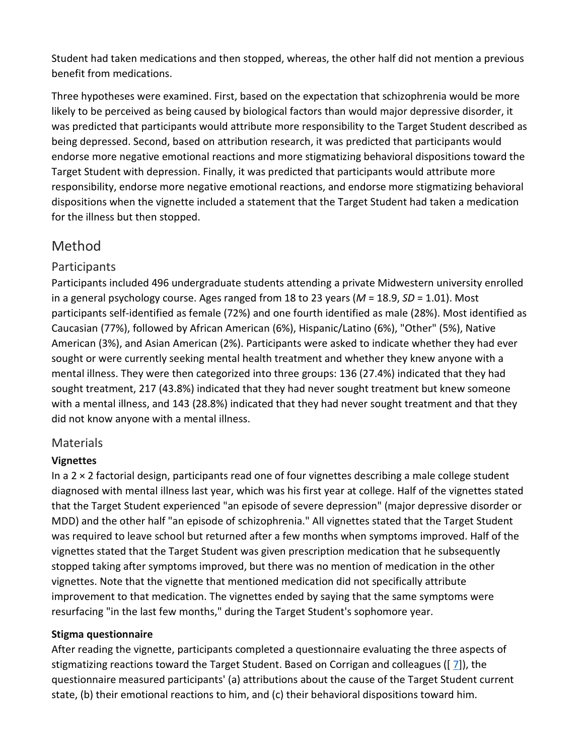Student had taken medications and then stopped, whereas, the other half did not mention a previous benefit from medications.

Three hypotheses were examined. First, based on the expectation that schizophrenia would be more likely to be perceived as being caused by biological factors than would major depressive disorder, it was predicted that participants would attribute more responsibility to the Target Student described as being depressed. Second, based on attribution research, it was predicted that participants would endorse more negative emotional reactions and more stigmatizing behavioral dispositions toward the Target Student with depression. Finally, it was predicted that participants would attribute more responsibility, endorse more negative emotional reactions, and endorse more stigmatizing behavioral dispositions when the vignette included a statement that the Target Student had taken a medication for the illness but then stopped.

## [Method](https://0-web-b-ebscohost-com.libus.csd.mu.edu/ehost/detail/detail?vid=0&sid=80b2aaac-2094-4b6a-a562-66d4997e4085%40pdc-v-sessmgr03&bdata=JnNpdGU9ZWhvc3QtbGl2ZSZzY29wZT1zaXRl#toc)

#### [Participants](https://0-web-b-ebscohost-com.libus.csd.mu.edu/ehost/detail/detail?vid=0&sid=80b2aaac-2094-4b6a-a562-66d4997e4085%40pdc-v-sessmgr03&bdata=JnNpdGU9ZWhvc3QtbGl2ZSZzY29wZT1zaXRl#toc)

Participants included 496 undergraduate students attending a private Midwestern university enrolled in a general psychology course. Ages ranged from 18 to 23 years (*M* = 18.9, *SD* = 1.01). Most participants self-identified as female (72%) and one fourth identified as male (28%). Most identified as Caucasian (77%), followed by African American (6%), Hispanic/Latino (6%), "Other" (5%), Native American (3%), and Asian American (2%). Participants were asked to indicate whether they had ever sought or were currently seeking mental health treatment and whether they knew anyone with a mental illness. They were then categorized into three groups: 136 (27.4%) indicated that they had sought treatment, 217 (43.8%) indicated that they had never sought treatment but knew someone with a mental illness, and 143 (28.8%) indicated that they had never sought treatment and that they did not know anyone with a mental illness.

#### **[Materials](https://0-web-b-ebscohost-com.libus.csd.mu.edu/ehost/detail/detail?vid=0&sid=80b2aaac-2094-4b6a-a562-66d4997e4085%40pdc-v-sessmgr03&bdata=JnNpdGU9ZWhvc3QtbGl2ZSZzY29wZT1zaXRl#toc)**

#### **[Vignettes](https://0-web-b-ebscohost-com.libus.csd.mu.edu/ehost/detail/detail?vid=0&sid=80b2aaac-2094-4b6a-a562-66d4997e4085%40pdc-v-sessmgr03&bdata=JnNpdGU9ZWhvc3QtbGl2ZSZzY29wZT1zaXRl#toc)**

In a 2 × 2 factorial design, participants read one of four vignettes describing a male college student diagnosed with mental illness last year, which was his first year at college. Half of the vignettes stated that the Target Student experienced "an episode of severe depression" (major depressive disorder or MDD) and the other half "an episode of schizophrenia." All vignettes stated that the Target Student was required to leave school but returned after a few months when symptoms improved. Half of the vignettes stated that the Target Student was given prescription medication that he subsequently stopped taking after symptoms improved, but there was no mention of medication in the other vignettes. Note that the vignette that mentioned medication did not specifically attribute improvement to that medication. The vignettes ended by saying that the same symptoms were resurfacing "in the last few months," during the Target Student's sophomore year.

#### **[Stigma questionnaire](https://0-web-b-ebscohost-com.libus.csd.mu.edu/ehost/detail/detail?vid=0&sid=80b2aaac-2094-4b6a-a562-66d4997e4085%40pdc-v-sessmgr03&bdata=JnNpdGU9ZWhvc3QtbGl2ZSZzY29wZT1zaXRl#toc)**

After reading the vignette, participants completed a questionnaire evaluating the three aspects of stigmatizing reactions toward the Target Student. Based on Corrigan and colleagues ( $[7]$  $[7]$ ), the questionnaire measured participants' (a) attributions about the cause of the Target Student current state, (b) their emotional reactions to him, and (c) their behavioral dispositions toward him.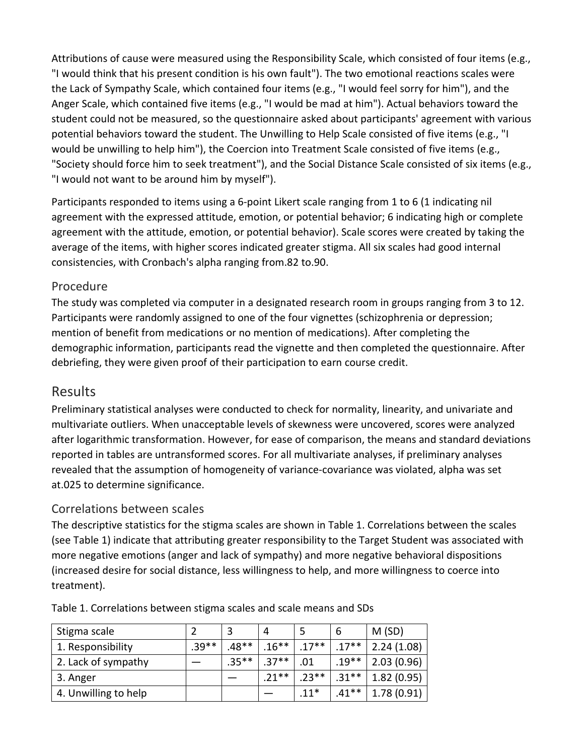Attributions of cause were measured using the Responsibility Scale, which consisted of four items (e.g., "I would think that his present condition is his own fault"). The two emotional reactions scales were the Lack of Sympathy Scale, which contained four items (e.g., "I would feel sorry for him"), and the Anger Scale, which contained five items (e.g., "I would be mad at him"). Actual behaviors toward the student could not be measured, so the questionnaire asked about participants' agreement with various potential behaviors toward the student. The Unwilling to Help Scale consisted of five items (e.g., "I would be unwilling to help him"), the Coercion into Treatment Scale consisted of five items (e.g., "Society should force him to seek treatment"), and the Social Distance Scale consisted of six items (e.g., "I would not want to be around him by myself").

Participants responded to items using a 6-point Likert scale ranging from 1 to 6 (1 indicating nil agreement with the expressed attitude, emotion, or potential behavior; 6 indicating high or complete agreement with the attitude, emotion, or potential behavior). Scale scores were created by taking the average of the items, with higher scores indicated greater stigma. All six scales had good internal consistencies, with Cronbach's alpha ranging from.82 to.90.

#### [Procedure](https://0-web-b-ebscohost-com.libus.csd.mu.edu/ehost/detail/detail?vid=0&sid=80b2aaac-2094-4b6a-a562-66d4997e4085%40pdc-v-sessmgr03&bdata=JnNpdGU9ZWhvc3QtbGl2ZSZzY29wZT1zaXRl#toc)

The study was completed via computer in a designated research room in groups ranging from 3 to 12. Participants were randomly assigned to one of the four vignettes (schizophrenia or depression; mention of benefit from medications or no mention of medications). After completing the demographic information, participants read the vignette and then completed the questionnaire. After debriefing, they were given proof of their participation to earn course credit.

#### [Results](https://0-web-b-ebscohost-com.libus.csd.mu.edu/ehost/detail/detail?vid=0&sid=80b2aaac-2094-4b6a-a562-66d4997e4085%40pdc-v-sessmgr03&bdata=JnNpdGU9ZWhvc3QtbGl2ZSZzY29wZT1zaXRl#toc)

Preliminary statistical analyses were conducted to check for normality, linearity, and univariate and multivariate outliers. When unacceptable levels of skewness were uncovered, scores were analyzed after logarithmic transformation. However, for ease of comparison, the means and standard deviations reported in tables are untransformed scores. For all multivariate analyses, if preliminary analyses revealed that the assumption of homogeneity of variance-covariance was violated, alpha was set at.025 to determine significance.

#### [Correlations between scales](https://0-web-b-ebscohost-com.libus.csd.mu.edu/ehost/detail/detail?vid=0&sid=80b2aaac-2094-4b6a-a562-66d4997e4085%40pdc-v-sessmgr03&bdata=JnNpdGU9ZWhvc3QtbGl2ZSZzY29wZT1zaXRl#toc)

The descriptive statistics for the stigma scales are shown in Table 1. Correlations between the scales (see Table 1) indicate that attributing greater responsibility to the Target Student was associated with more negative emotions (anger and lack of sympathy) and more negative behavioral dispositions (increased desire for social distance, less willingness to help, and more willingness to coerce into treatment).

| Stigma scale         |         |          | 4        |          | 6        | M(SD)      |
|----------------------|---------|----------|----------|----------|----------|------------|
| 1. Responsibility    | $.39**$ | $.48**$  | $.16***$ | $.17***$ | $.17***$ | 2.24(1.08) |
| 2. Lack of sympathy  |         | $.35***$ | $.37***$ | .01      | $.19**$  | 2.03(0.96) |
| 3. Anger             |         |          | $.21***$ | $.23**$  | $.31***$ | 1.82(0.95) |
| 4. Unwilling to help |         |          |          | $.11*$   | $.41**$  | 1.78(0.91) |

Table 1. Correlations between stigma scales and scale means and SDs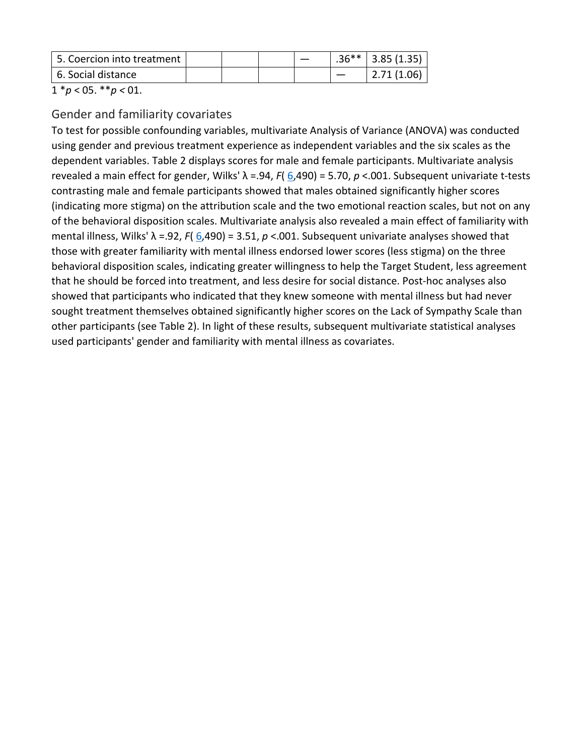| 5. Coercion into treatment |  |  | $.36***$ 3.85 (1.35) |
|----------------------------|--|--|----------------------|
| 6. Social distance         |  |  | 2.71(1.06)           |

1 \**p* < 05. \*\**p <* 01.

#### [Gender and familiarity covariates](https://0-web-b-ebscohost-com.libus.csd.mu.edu/ehost/detail/detail?vid=0&sid=80b2aaac-2094-4b6a-a562-66d4997e4085%40pdc-v-sessmgr03&bdata=JnNpdGU9ZWhvc3QtbGl2ZSZzY29wZT1zaXRl#toc)

To test for possible confounding variables, multivariate Analysis of Variance (ANOVA) was conducted using gender and previous treatment experience as independent variables and the six scales as the dependent variables. Table 2 displays scores for male and female participants. Multivariate analysis revealed a main effect for gender, Wilks' λ =.94, *F*( [6,](https://0-web-b-ebscohost-com.libus.csd.mu.edu/ehost/detail/detail?vid=0&sid=80b2aaac-2094-4b6a-a562-66d4997e4085%40pdc-v-sessmgr03&bdata=JnNpdGU9ZWhvc3QtbGl2ZSZzY29wZT1zaXRl#bib6)490) = 5.70, *p* <.001. Subsequent univariate t-tests contrasting male and female participants showed that males obtained significantly higher scores (indicating more stigma) on the attribution scale and the two emotional reaction scales, but not on any of the behavioral disposition scales. Multivariate analysis also revealed a main effect of familiarity with mental illness, Wilks' λ =.92, *F*( [6,](https://0-web-b-ebscohost-com.libus.csd.mu.edu/ehost/detail/detail?vid=0&sid=80b2aaac-2094-4b6a-a562-66d4997e4085%40pdc-v-sessmgr03&bdata=JnNpdGU9ZWhvc3QtbGl2ZSZzY29wZT1zaXRl#bib6)490) = 3.51, *p* <.001. Subsequent univariate analyses showed that those with greater familiarity with mental illness endorsed lower scores (less stigma) on the three behavioral disposition scales, indicating greater willingness to help the Target Student, less agreement that he should be forced into treatment, and less desire for social distance. Post-hoc analyses also showed that participants who indicated that they knew someone with mental illness but had never sought treatment themselves obtained significantly higher scores on the Lack of Sympathy Scale than other participants (see Table 2). In light of these results, subsequent multivariate statistical analyses used participants' gender and familiarity with mental illness as covariates.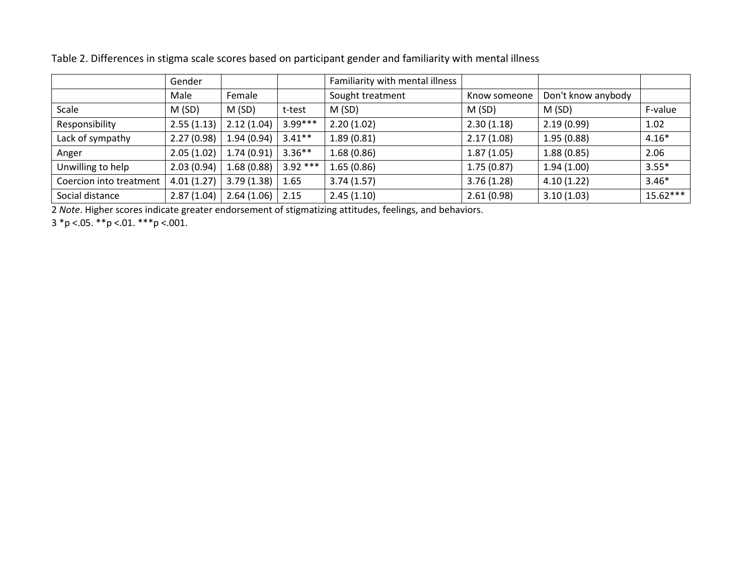|                         | Gender     |            |           | Familiarity with mental illness |              |                    |            |
|-------------------------|------------|------------|-----------|---------------------------------|--------------|--------------------|------------|
|                         | Male       | Female     |           | Sought treatment                | Know someone | Don't know anybody |            |
| Scale                   | M(SD)      | M(SD)      | t-test    | M(SD)                           | M(SD)        | M(SD)              | F-value    |
| Responsibility          | 2.55(1.13) | 2.12(1.04) | $3.99***$ | 2.20(1.02)                      | 2.30(1.18)   | 2.19(0.99)         | 1.02       |
| Lack of sympathy        | 2.27(0.98) | 1.94(0.94) | $3.41***$ | 1.89(0.81)                      | 2.17(1.08)   | 1.95(0.88)         | $4.16*$    |
| Anger                   | 2.05(1.02) | 1.74(0.91) | $3.36***$ | 1.68(0.86)                      | 1.87(1.05)   | 1.88(0.85)         | 2.06       |
| Unwilling to help       | 2.03(0.94) | 1.68(0.88) | $3.92***$ | 1.65(0.86)                      | 1.75(0.87)   | 1.94(1.00)         | $3.55*$    |
| Coercion into treatment | 4.01(1.27) | 3.79(1.38) | 1.65      | 3.74(1.57)                      | 3.76(1.28)   | 4.10(1.22)         | $3.46*$    |
| Social distance         | 2.87(1.04) | 2.64(1.06) | 2.15      | 2.45(1.10)                      | 2.61(0.98)   | 3.10(1.03)         | $15.62***$ |

Table 2. Differences in stigma scale scores based on participant gender and familiarity with mental illness

2 *Note*. Higher scores indicate greater endorsement of stigmatizing attitudes, feelings, and behaviors.

 $3 * p < .05. * p < .01. * * p < .001.$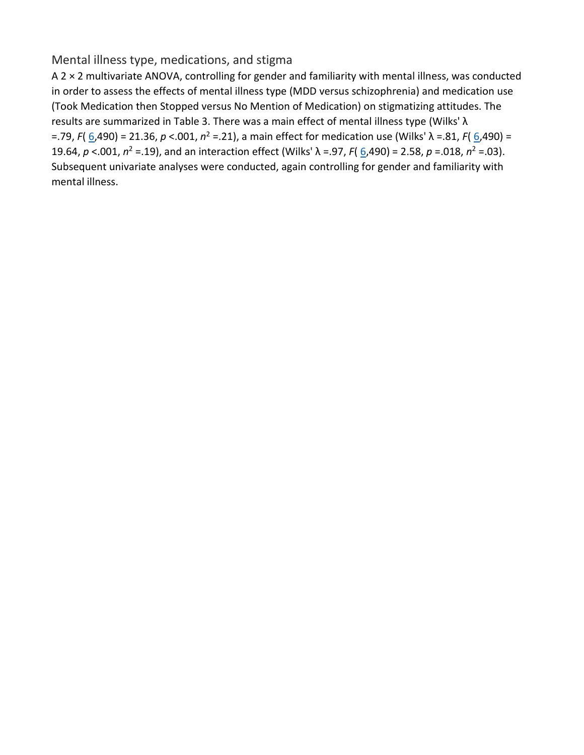#### Mental [illness type, medications, and stigma](https://0-web-b-ebscohost-com.libus.csd.mu.edu/ehost/detail/detail?vid=0&sid=80b2aaac-2094-4b6a-a562-66d4997e4085%40pdc-v-sessmgr03&bdata=JnNpdGU9ZWhvc3QtbGl2ZSZzY29wZT1zaXRl#toc)

A 2 × 2 multivariate ANOVA, controlling for gender and familiarity with mental illness, was conducted in order to assess the effects of mental illness type (MDD versus schizophrenia) and medication use (Took Medication then Stopped versus No Mention of Medication) on stigmatizing attitudes. The results are summarized in Table 3. There was a main effect of mental illness type (Wilks' λ =.79, *F*( [6,](https://0-web-b-ebscohost-com.libus.csd.mu.edu/ehost/detail/detail?vid=0&sid=80b2aaac-2094-4b6a-a562-66d4997e4085%40pdc-v-sessmgr03&bdata=JnNpdGU9ZWhvc3QtbGl2ZSZzY29wZT1zaXRl#bib6)490) = 21.36, *p* <.001, *n*<sup>2</sup> =.21), a main effect for medication use (Wilks' λ =.81, *F*( [6,](https://0-web-b-ebscohost-com.libus.csd.mu.edu/ehost/detail/detail?vid=0&sid=80b2aaac-2094-4b6a-a562-66d4997e4085%40pdc-v-sessmgr03&bdata=JnNpdGU9ZWhvc3QtbGl2ZSZzY29wZT1zaXRl#bib6)490) = 19.64, *p* <.001, *n*<sup>2</sup> =.19), and an interaction effect (Wilks' λ =.97, *F*( [6,](https://0-web-b-ebscohost-com.libus.csd.mu.edu/ehost/detail/detail?vid=0&sid=80b2aaac-2094-4b6a-a562-66d4997e4085%40pdc-v-sessmgr03&bdata=JnNpdGU9ZWhvc3QtbGl2ZSZzY29wZT1zaXRl#bib6)490) = 2.58, *p* =.018, *n*<sup>2</sup> =.03). Subsequent univariate analyses were conducted, again controlling for gender and familiarity with mental illness.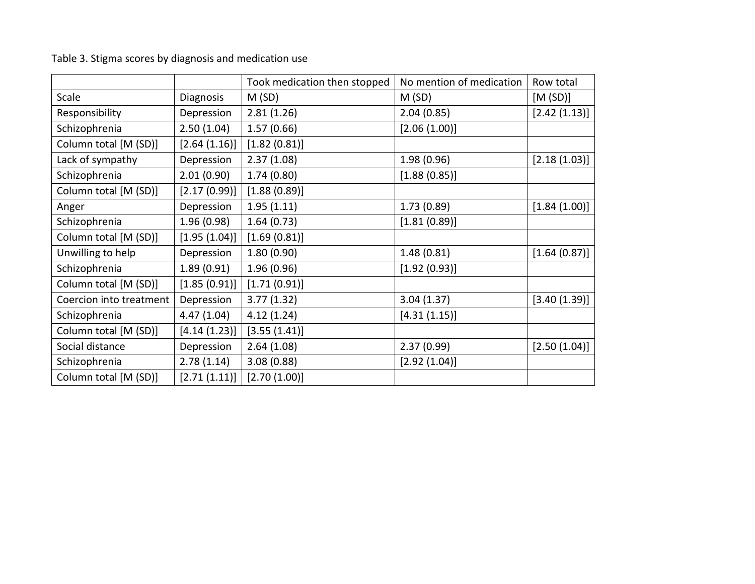Table 3. Stigma scores by diagnosis and medication use

|                         |                  | Took medication then stopped | No mention of medication | Row total    |
|-------------------------|------------------|------------------------------|--------------------------|--------------|
| Scale                   | <b>Diagnosis</b> | M(SD)                        | M(SD)                    | [M (SD)]     |
| Responsibility          | Depression       | 2.81(1.26)                   | 2.04(0.85)               | [2.42(1.13)] |
| Schizophrenia           | 2.50(1.04)       | 1.57(0.66)                   | [2.06(1.00)]             |              |
| Column total [M (SD)]   | [2.64(1.16)]     | [1.82(0.81)]                 |                          |              |
| Lack of sympathy        | Depression       | 2.37(1.08)                   | 1.98(0.96)               | [2.18(1.03)] |
| Schizophrenia           | 2.01(0.90)       | 1.74(0.80)                   | [1.88(0.85)]             |              |
| Column total [M (SD)]   | [2.17(0.99)]     | [1.88(0.89)]                 |                          |              |
| Anger                   | Depression       | 1.95(1.11)                   | 1.73(0.89)               | [1.84(1.00)] |
| Schizophrenia           | 1.96(0.98)       | 1.64(0.73)                   | [1.81(0.89)]             |              |
| Column total [M (SD)]   | [1.95(1.04)]     | [1.69(0.81)]                 |                          |              |
| Unwilling to help       | Depression       | 1.80(0.90)                   | 1.48(0.81)               | [1.64(0.87)] |
| Schizophrenia           | 1.89(0.91)       | 1.96 (0.96)                  | [1.92(0.93)]             |              |
| Column total [M (SD)]   | [1.85(0.91)]     | [1.71(0.91)]                 |                          |              |
| Coercion into treatment | Depression       | 3.77(1.32)                   | 3.04(1.37)               | [3.40(1.39)] |
| Schizophrenia           | 4.47(1.04)       | 4.12(1.24)                   | [4.31(1.15)]             |              |
| Column total [M (SD)]   | [4.14(1.23)]     | [3.55(1.41)]                 |                          |              |
| Social distance         | Depression       | 2.64(1.08)                   | 2.37(0.99)               | [2.50(1.04)] |
| Schizophrenia           | 2.78(1.14)       | 3.08(0.88)                   | [2.92(1.04)]             |              |
| Column total [M (SD)]   | [2.71(1.11)]     | [2.70(1.00)]                 |                          |              |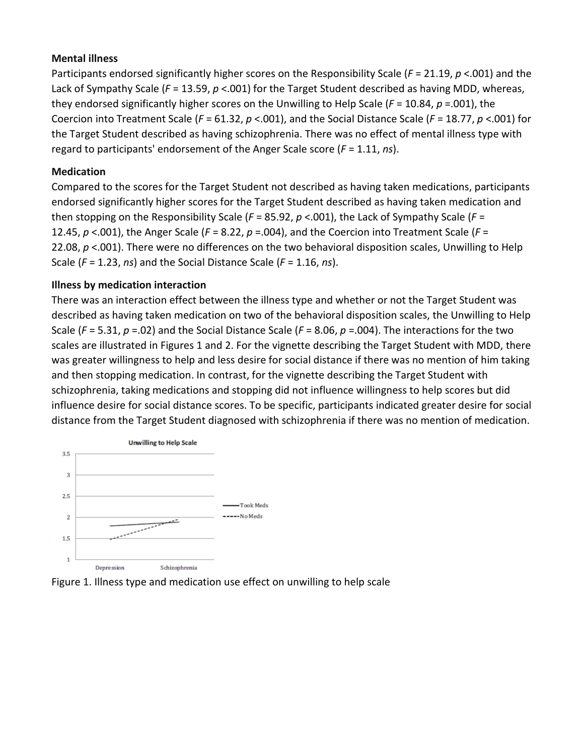#### **[Mental illness](https://0-web-b-ebscohost-com.libus.csd.mu.edu/ehost/detail/detail?vid=0&sid=80b2aaac-2094-4b6a-a562-66d4997e4085%40pdc-v-sessmgr03&bdata=JnNpdGU9ZWhvc3QtbGl2ZSZzY29wZT1zaXRl#toc)**

Participants endorsed significantly higher scores on the Responsibility Scale (*F* = 21.19, *p* <.001) and the Lack of Sympathy Scale (*F* = 13.59, *p* <.001) for the Target Student described as having MDD, whereas, they endorsed significantly higher scores on the Unwilling to Help Scale (*F* = 10.84, *p* =.001), the Coercion into Treatment Scale (*F* = 61.32, *p* <.001), and the Social Distance Scale (*F* = 18.77, *p* <.001) for the Target Student described as having schizophrenia. There was no effect of mental illness type with regard to participants' endorsement of the Anger Scale score (*F* = 1.11, *ns*).

#### **[Medication](https://0-web-b-ebscohost-com.libus.csd.mu.edu/ehost/detail/detail?vid=0&sid=80b2aaac-2094-4b6a-a562-66d4997e4085%40pdc-v-sessmgr03&bdata=JnNpdGU9ZWhvc3QtbGl2ZSZzY29wZT1zaXRl#toc)**

Compared to the scores for the Target Student not described as having taken medications, participants endorsed significantly higher scores for the Target Student described as having taken medication and then stopping on the Responsibility Scale (*F* = 85.92, *p* <.001), the Lack of Sympathy Scale (*F* = 12.45, *p* <.001), the Anger Scale (*F* = 8.22, *p* =.004), and the Coercion into Treatment Scale (*F* = 22.08, *p* <.001). There were no differences on the two behavioral disposition scales, Unwilling to Help Scale (*F* = 1.23, *ns*) and the Social Distance Scale (*F* = 1.16, *ns*).

#### **[Illness by medication interaction](https://0-web-b-ebscohost-com.libus.csd.mu.edu/ehost/detail/detail?vid=0&sid=80b2aaac-2094-4b6a-a562-66d4997e4085%40pdc-v-sessmgr03&bdata=JnNpdGU9ZWhvc3QtbGl2ZSZzY29wZT1zaXRl#toc)**

There was an interaction effect between the illness type and whether or not the Target Student was described as having taken medication on two of the behavioral disposition scales, the Unwilling to Help Scale (*F* = 5.31, *p* =.02) and the Social Distance Scale (*F* = 8.06, *p* =.004). The interactions for the two scales are illustrated in Figures 1 and 2. For the vignette describing the Target Student with MDD, there was greater willingness to help and less desire for social distance if there was no mention of him taking and then stopping medication. In contrast, for the vignette describing the Target Student with schizophrenia, taking medications and stopping did not influence willingness to help scores but did influence desire for social distance scores. To be specific, participants indicated greater desire for social distance from the Target Student diagnosed with schizophrenia if there was no mention of medication.



Figure 1. Illness type and medication use effect on unwilling to help scale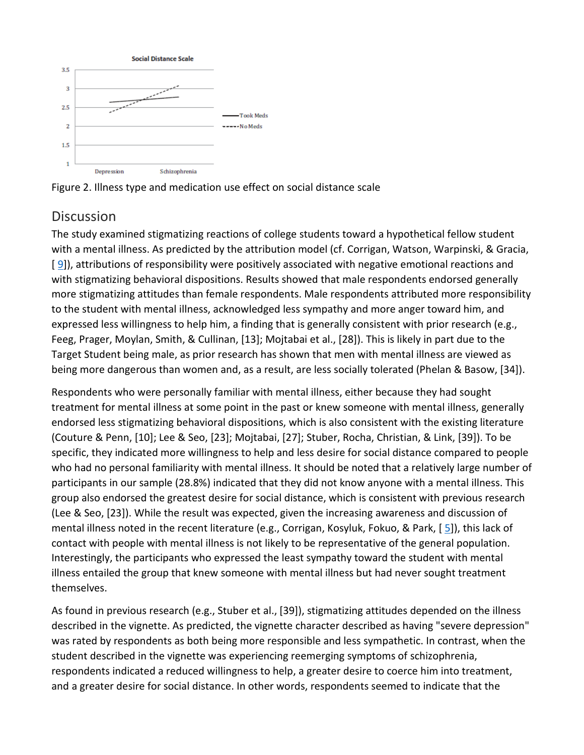

Figure 2. Illness type and medication use effect on social distance scale

## **[Discussion](https://0-web-b-ebscohost-com.libus.csd.mu.edu/ehost/detail/detail?vid=0&sid=80b2aaac-2094-4b6a-a562-66d4997e4085%40pdc-v-sessmgr03&bdata=JnNpdGU9ZWhvc3QtbGl2ZSZzY29wZT1zaXRl#toc)**

The study examined stigmatizing reactions of college students toward a hypothetical fellow student with a mental illness. As predicted by the attribution model (cf. Corrigan, Watson, Warpinski, & Gracia, [ [9\]](https://0-web-b-ebscohost-com.libus.csd.mu.edu/ehost/detail/detail?vid=0&sid=80b2aaac-2094-4b6a-a562-66d4997e4085%40pdc-v-sessmgr03&bdata=JnNpdGU9ZWhvc3QtbGl2ZSZzY29wZT1zaXRl#bib9)), attributions of responsibility were positively associated with negative emotional reactions and with stigmatizing behavioral dispositions. Results showed that male respondents endorsed generally more stigmatizing attitudes than female respondents. Male respondents attributed more responsibility to the student with mental illness, acknowledged less sympathy and more anger toward him, and expressed less willingness to help him, a finding that is generally consistent with prior research (e.g., Feeg, Prager, Moylan, Smith, & Cullinan, [13]; Mojtabai et al., [28]). This is likely in part due to the Target Student being male, as prior research has shown that men with mental illness are viewed as being more dangerous than women and, as a result, are less socially tolerated (Phelan & Basow, [34]).

Respondents who were personally familiar with mental illness, either because they had sought treatment for mental illness at some point in the past or knew someone with mental illness, generally endorsed less stigmatizing behavioral dispositions, which is also consistent with the existing literature (Couture & Penn, [10]; Lee & Seo, [23]; Mojtabai, [27]; Stuber, Rocha, Christian, & Link, [39]). To be specific, they indicated more willingness to help and less desire for social distance compared to people who had no personal familiarity with mental illness. It should be noted that a relatively large number of participants in our sample (28.8%) indicated that they did not know anyone with a mental illness. This group also endorsed the greatest desire for social distance, which is consistent with previous research (Lee & Seo, [23]). While the result was expected, given the increasing awareness and discussion of mental illness noted in the recent literature (e.g., Corrigan, Kosyluk, Fokuo, & Park, [ [5\]](https://0-web-b-ebscohost-com.libus.csd.mu.edu/ehost/detail/detail?vid=0&sid=80b2aaac-2094-4b6a-a562-66d4997e4085%40pdc-v-sessmgr03&bdata=JnNpdGU9ZWhvc3QtbGl2ZSZzY29wZT1zaXRl#bib5)), this lack of contact with people with mental illness is not likely to be representative of the general population. Interestingly, the participants who expressed the least sympathy toward the student with mental illness entailed the group that knew someone with mental illness but had never sought treatment themselves.

As found in previous research (e.g., Stuber et al., [39]), stigmatizing attitudes depended on the illness described in the vignette. As predicted, the vignette character described as having "severe depression" was rated by respondents as both being more responsible and less sympathetic. In contrast, when the student described in the vignette was experiencing reemerging symptoms of schizophrenia, respondents indicated a reduced willingness to help, a greater desire to coerce him into treatment, and a greater desire for social distance. In other words, respondents seemed to indicate that the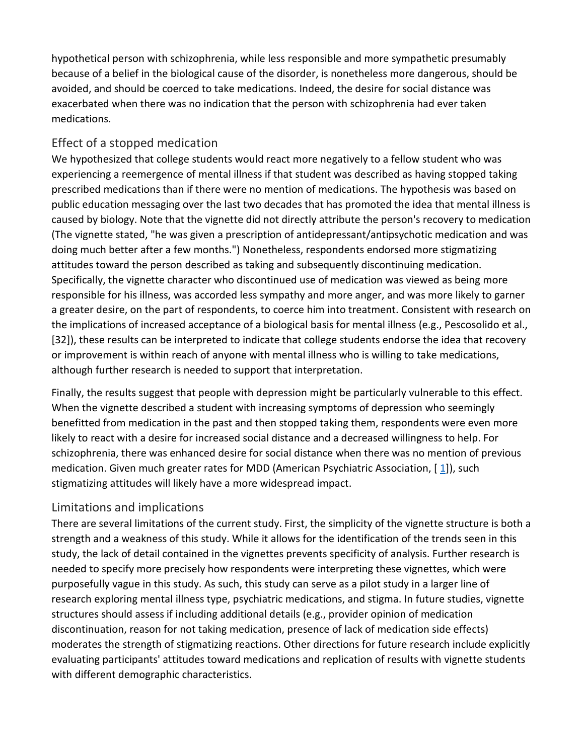hypothetical person with schizophrenia, while less responsible and more sympathetic presumably because of a belief in the biological cause of the disorder, is nonetheless more dangerous, should be avoided, and should be coerced to take medications. Indeed, the desire for social distance was exacerbated when there was no indication that the person with schizophrenia had ever taken medications.

#### [Effect of a stopped medication](https://0-web-b-ebscohost-com.libus.csd.mu.edu/ehost/detail/detail?vid=0&sid=80b2aaac-2094-4b6a-a562-66d4997e4085%40pdc-v-sessmgr03&bdata=JnNpdGU9ZWhvc3QtbGl2ZSZzY29wZT1zaXRl#toc)

We hypothesized that college students would react more negatively to a fellow student who was experiencing a reemergence of mental illness if that student was described as having stopped taking prescribed medications than if there were no mention of medications. The hypothesis was based on public education messaging over the last two decades that has promoted the idea that mental illness is caused by biology. Note that the vignette did not directly attribute the person's recovery to medication (The vignette stated, "he was given a prescription of antidepressant/antipsychotic medication and was doing much better after a few months.") Nonetheless, respondents endorsed more stigmatizing attitudes toward the person described as taking and subsequently discontinuing medication. Specifically, the vignette character who discontinued use of medication was viewed as being more responsible for his illness, was accorded less sympathy and more anger, and was more likely to garner a greater desire, on the part of respondents, to coerce him into treatment. Consistent with research on the implications of increased acceptance of a biological basis for mental illness (e.g., Pescosolido et al., [32]), these results can be interpreted to indicate that college students endorse the idea that recovery or improvement is within reach of anyone with mental illness who is willing to take medications, although further research is needed to support that interpretation.

Finally, the results suggest that people with depression might be particularly vulnerable to this effect. When the vignette described a student with increasing symptoms of depression who seemingly benefitted from medication in the past and then stopped taking them, respondents were even more likely to react with a desire for increased social distance and a decreased willingness to help. For schizophrenia, there was enhanced desire for social distance when there was no mention of previous medication. Given much greater rates for MDD (American Psychiatric Association, [ [1\]](https://0-web-b-ebscohost-com.libus.csd.mu.edu/ehost/detail/detail?vid=0&sid=80b2aaac-2094-4b6a-a562-66d4997e4085%40pdc-v-sessmgr03&bdata=JnNpdGU9ZWhvc3QtbGl2ZSZzY29wZT1zaXRl#bib1)), such stigmatizing attitudes will likely have a more widespread impact.

#### [Limitations and implications](https://0-web-b-ebscohost-com.libus.csd.mu.edu/ehost/detail/detail?vid=0&sid=80b2aaac-2094-4b6a-a562-66d4997e4085%40pdc-v-sessmgr03&bdata=JnNpdGU9ZWhvc3QtbGl2ZSZzY29wZT1zaXRl#toc)

There are several limitations of the current study. First, the simplicity of the vignette structure is both a strength and a weakness of this study. While it allows for the identification of the trends seen in this study, the lack of detail contained in the vignettes prevents specificity of analysis. Further research is needed to specify more precisely how respondents were interpreting these vignettes, which were purposefully vague in this study. As such, this study can serve as a pilot study in a larger line of research exploring mental illness type, psychiatric medications, and stigma. In future studies, vignette structures should assess if including additional details (e.g., provider opinion of medication discontinuation, reason for not taking medication, presence of lack of medication side effects) moderates the strength of stigmatizing reactions. Other directions for future research include explicitly evaluating participants' attitudes toward medications and replication of results with vignette students with different demographic characteristics.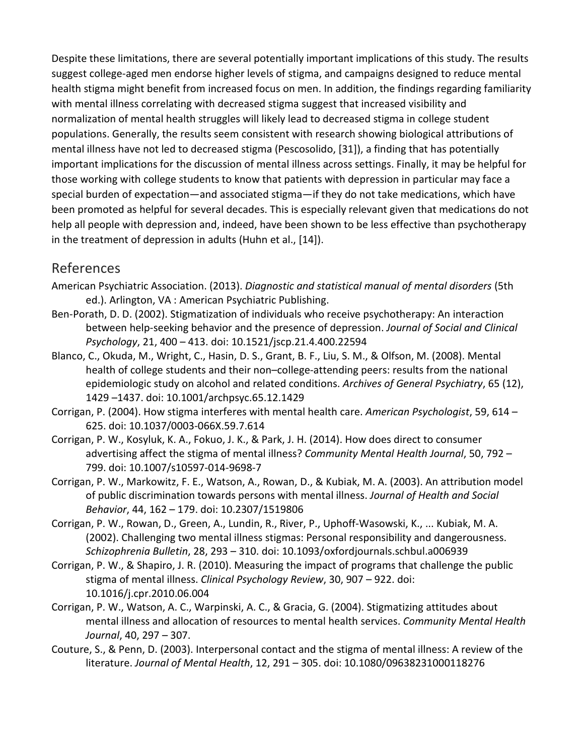Despite these limitations, there are several potentially important implications of this study. The results suggest college-aged men endorse higher levels of stigma, and campaigns designed to reduce mental health stigma might benefit from increased focus on men. In addition, the findings regarding familiarity with mental illness correlating with decreased stigma suggest that increased visibility and normalization of mental health struggles will likely lead to decreased stigma in college student populations. Generally, the results seem consistent with research showing biological attributions of mental illness have not led to decreased stigma (Pescosolido, [31]), a finding that has potentially important implications for the discussion of mental illness across settings. Finally, it may be helpful for those working with college students to know that patients with depression in particular may face a special burden of expectation—and associated stigma—if they do not take medications, which have been promoted as helpful for several decades. This is especially relevant given that medications do not help all people with depression and, indeed, have been shown to be less effective than psychotherapy in the treatment of depression in adults (Huhn et al., [14]).

## [References](https://0-web-b-ebscohost-com.libus.csd.mu.edu/ehost/detail/detail?vid=0&sid=80b2aaac-2094-4b6a-a562-66d4997e4085%40pdc-v-sessmgr03&bdata=JnNpdGU9ZWhvc3QtbGl2ZSZzY29wZT1zaXRl#toc)

- American Psychiatric Association. (2013). *Diagnostic and statistical manual of mental disorders* (5th ed.). Arlington, VA : American Psychiatric Publishing.
- Ben-Porath, D. D. (2002). Stigmatization of individuals who receive psychotherapy: An interaction between help-seeking behavior and the presence of depression. *Journal of Social and Clinical Psychology*, 21, 400 – 413. doi: 10.1521/jscp.21.4.400.22594
- Blanco, C., Okuda, M., Wright, C., Hasin, D. S., Grant, B. F., Liu, S. M., & Olfson, M. (2008). Mental health of college students and their non–college-attending peers: results from the national epidemiologic study on alcohol and related conditions. *Archives of General Psychiatry*, 65 (12), 1429 –1437. doi: 10.1001/archpsyc.65.12.1429
- Corrigan, P. (2004). How stigma interferes with mental health care. *American Psychologist*, 59, 614 625. doi: 10.1037/0003-066X.59.7.614
- Corrigan, P. W., Kosyluk, K. A., Fokuo, J. K., & Park, J. H. (2014). How does direct to consumer advertising affect the stigma of mental illness? *Community Mental Health Journal*, 50, 792 – 799. doi: 10.1007/s10597-014-9698-7
- Corrigan, P. W., Markowitz, F. E., Watson, A., Rowan, D., & Kubiak, M. A. (2003). An attribution model of public discrimination towards persons with mental illness. *Journal of Health and Social Behavior*, 44, 162 – 179. doi: 10.2307/1519806
- Corrigan, P. W., Rowan, D., Green, A., Lundin, R., River, P., Uphoff-Wasowski, K., ... Kubiak, M. A. (2002). Challenging two mental illness stigmas: Personal responsibility and dangerousness. *Schizophrenia Bulletin*, 28, 293 – 310. doi: 10.1093/oxfordjournals.schbul.a006939
- Corrigan, P. W., & Shapiro, J. R. (2010). Measuring the impact of programs that challenge the public stigma of mental illness. *Clinical Psychology Review*, 30, 907 – 922. doi: 10.1016/j.cpr.2010.06.004
- Corrigan, P. W., Watson, A. C., Warpinski, A. C., & Gracia, G. (2004). Stigmatizing attitudes about mental illness and allocation of resources to mental health services. *Community Mental Health Journal*, 40, 297 – 307.
- Couture, S., & Penn, D. (2003). Interpersonal contact and the stigma of mental illness: A review of the literature. *Journal of Mental Health*, 12, 291 – 305. doi: 10.1080/09638231000118276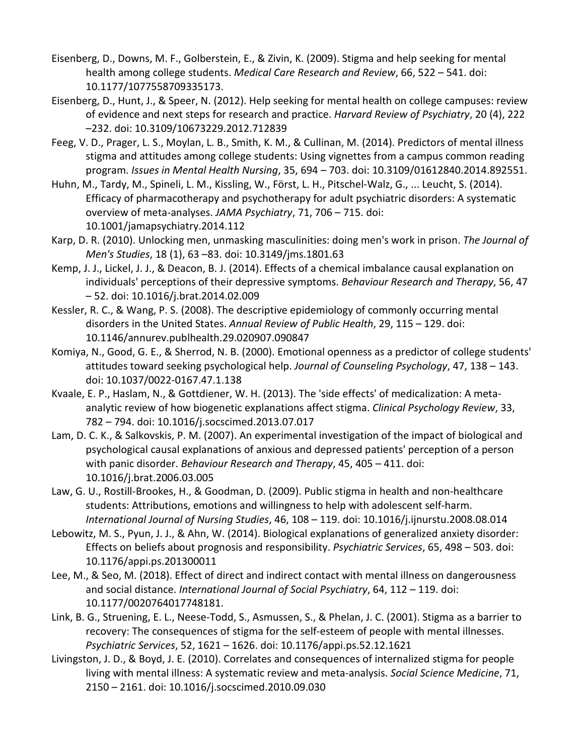- Eisenberg, D., Downs, M. F., Golberstein, E., & Zivin, K. (2009). Stigma and help seeking for mental health among college students. *Medical Care Research and Review*, 66, 522 – 541. doi: 10.1177/1077558709335173.
- Eisenberg, D., Hunt, J., & Speer, N. (2012). Help seeking for mental health on college campuses: review of evidence and next steps for research and practice. *Harvard Review of Psychiatry*, 20 (4), 222 –232. doi: 10.3109/10673229.2012.712839
- Feeg, V. D., Prager, L. S., Moylan, L. B., Smith, K. M., & Cullinan, M. (2014). Predictors of mental illness stigma and attitudes among college students: Using vignettes from a campus common reading program. *Issues in Mental Health Nursing*, 35, 694 – 703. doi: 10.3109/01612840.2014.892551.
- Huhn, M., Tardy, M., Spineli, L. M., Kissling, W., Först, L. H., Pitschel-Walz, G., ... Leucht, S. (2014). Efficacy of pharmacotherapy and psychotherapy for adult psychiatric disorders: A systematic overview of meta-analyses. *JAMA Psychiatry*, 71, 706 – 715. doi: 10.1001/jamapsychiatry.2014.112
- Karp, D. R. (2010). Unlocking men, unmasking masculinities: doing men's work in prison. *The Journal of Men's Studies*, 18 (1), 63 –83. doi: 10.3149/jms.1801.63
- Kemp, J. J., Lickel, J. J., & Deacon, B. J. (2014). Effects of a chemical imbalance causal explanation on individuals' perceptions of their depressive symptoms. *Behaviour Research and Therapy*, 56, 47 – 52. doi: 10.1016/j.brat.2014.02.009
- Kessler, R. C., & Wang, P. S. (2008). The descriptive epidemiology of commonly occurring mental disorders in the United States. *Annual Review of Public Health*, 29, 115 – 129. doi: 10.1146/annurev.publhealth.29.020907.090847
- Komiya, N., Good, G. E., & Sherrod, N. B. (2000). Emotional openness as a predictor of college students' attitudes toward seeking psychological help. *Journal of Counseling Psychology*, 47, 138 – 143. doi: 10.1037/0022-0167.47.1.138
- Kvaale, E. P., Haslam, N., & Gottdiener, W. H. (2013). The 'side effects' of medicalization: A metaanalytic review of how biogenetic explanations affect stigma. *Clinical Psychology Review*, 33, 782 – 794. doi: 10.1016/j.socscimed.2013.07.017
- Lam, D. C. K., & Salkovskis, P. M. (2007). An experimental investigation of the impact of biological and psychological causal explanations of anxious and depressed patients' perception of a person with panic disorder. *Behaviour Research and Therapy*, 45, 405 – 411. doi: 10.1016/j.brat.2006.03.005
- Law, G. U., Rostill-Brookes, H., & Goodman, D. (2009). Public stigma in health and non-healthcare students: Attributions, emotions and willingness to help with adolescent self-harm. *International Journal of Nursing Studies*, 46, 108 – 119. doi: 10.1016/j.ijnurstu.2008.08.014
- Lebowitz, M. S., Pyun, J. J., & Ahn, W. (2014). Biological explanations of generalized anxiety disorder: Effects on beliefs about prognosis and responsibility. *Psychiatric Services*, 65, 498 – 503. doi: 10.1176/appi.ps.201300011
- Lee, M., & Seo, M. (2018). Effect of direct and indirect contact with mental illness on dangerousness and social distance. *International Journal of Social Psychiatry*, 64, 112 – 119. doi: 10.1177/0020764017748181.
- Link, B. G., Struening, E. L., Neese-Todd, S., Asmussen, S., & Phelan, J. C. (2001). Stigma as a barrier to recovery: The consequences of stigma for the self-esteem of people with mental illnesses. *Psychiatric Services*, 52, 1621 – 1626. doi: 10.1176/appi.ps.52.12.1621
- Livingston, J. D., & Boyd, J. E. (2010). Correlates and consequences of internalized stigma for people living with mental illness: A systematic review and meta-analysis. *Social Science Medicine*, 71, 2150 – 2161. doi: 10.1016/j.socscimed.2010.09.030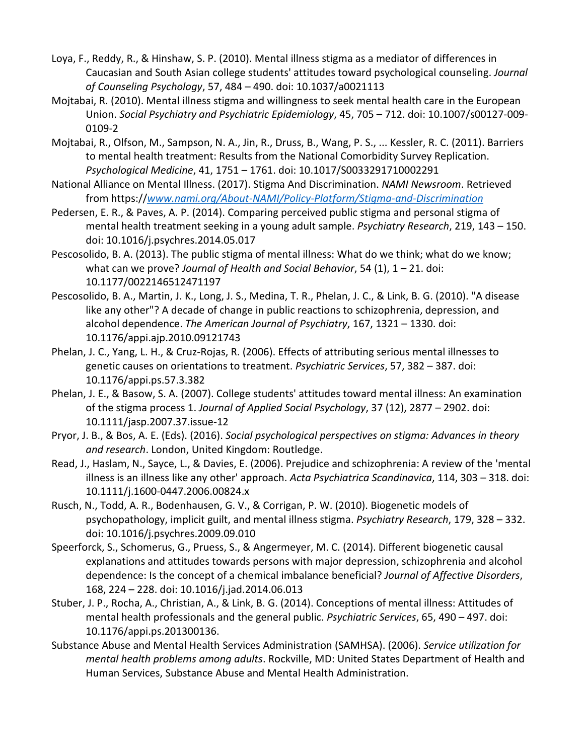- Loya, F., Reddy, R., & Hinshaw, S. P. (2010). Mental illness stigma as a mediator of differences in Caucasian and South Asian college students' attitudes toward psychological counseling. *Journal of Counseling Psychology*, 57, 484 – 490. doi: 10.1037/a0021113
- Mojtabai, R. (2010). Mental illness stigma and willingness to seek mental health care in the European Union. *Social Psychiatry and Psychiatric Epidemiology*, 45, 705 – 712. doi: 10.1007/s00127-009- 0109-2
- Mojtabai, R., Olfson, M., Sampson, N. A., Jin, R., Druss, B., Wang, P. S., ... Kessler, R. C. (2011). Barriers to mental health treatment: Results from the National Comorbidity Survey Replication. *Psychological Medicine*, 41, 1751 – 1761. doi: 10.1017/S0033291710002291
- National Alliance on Mental Illness. (2017). Stigma And Discrimination. *NAMI Newsroom*. Retrieved from https://*[www.nami.org/About-NAMI/Policy-Platform/Stigma-and-Discrimination](http://www.nami.org/About-NAMI/Policy-Platform/Stigma-and-Discrimination)*
- Pedersen, E. R., & Paves, A. P. (2014). Comparing perceived public stigma and personal stigma of mental health treatment seeking in a young adult sample. *Psychiatry Research*, 219, 143 – 150. doi: 10.1016/j.psychres.2014.05.017
- Pescosolido, B. A. (2013). The public stigma of mental illness: What do we think; what do we know; what can we prove? *Journal of Health and Social Behavior*, 54 (1), 1 – 21. doi: 10.1177/0022146512471197
- Pescosolido, B. A., Martin, J. K., Long, J. S., Medina, T. R., Phelan, J. C., & Link, B. G. (2010). "A disease like any other"? A decade of change in public reactions to schizophrenia, depression, and alcohol dependence. *The American Journal of Psychiatry*, 167, 1321 – 1330. doi: 10.1176/appi.ajp.2010.09121743
- Phelan, J. C., Yang, L. H., & Cruz-Rojas, R. (2006). Effects of attributing serious mental illnesses to genetic causes on orientations to treatment. *Psychiatric Services*, 57, 382 – 387. doi: 10.1176/appi.ps.57.3.382
- Phelan, J. E., & Basow, S. A. (2007). College students' attitudes toward mental illness: An examination of the stigma process 1. *Journal of Applied Social Psychology*, 37 (12), 2877 – 2902. doi: 10.1111/jasp.2007.37.issue-12
- Pryor, J. B., & Bos, A. E. (Eds). (2016). *Social psychological perspectives on stigma: Advances in theory and research*. London, United Kingdom: Routledge.
- Read, J., Haslam, N., Sayce, L., & Davies, E. (2006). Prejudice and schizophrenia: A review of the 'mental illness is an illness like any other' approach. *Acta Psychiatrica Scandinavica*, 114, 303 – 318. doi: 10.1111/j.1600-0447.2006.00824.x
- Rusch, N., Todd, A. R., Bodenhausen, G. V., & Corrigan, P. W. (2010). Biogenetic models of psychopathology, implicit guilt, and mental illness stigma. *Psychiatry Research*, 179, 328 – 332. doi: 10.1016/j.psychres.2009.09.010
- Speerforck, S., Schomerus, G., Pruess, S., & Angermeyer, M. C. (2014). Different biogenetic causal explanations and attitudes towards persons with major depression, schizophrenia and alcohol dependence: Is the concept of a chemical imbalance beneficial? *Journal of Affective Disorders*, 168, 224 – 228. doi: 10.1016/j.jad.2014.06.013
- Stuber, J. P., Rocha, A., Christian, A., & Link, B. G. (2014). Conceptions of mental illness: Attitudes of mental health professionals and the general public. *Psychiatric Services*, 65, 490 – 497. doi: 10.1176/appi.ps.201300136.
- Substance Abuse and Mental Health Services Administration (SAMHSA). (2006). *Service utilization for mental health problems among adults*. Rockville, MD: United States Department of Health and Human Services, Substance Abuse and Mental Health Administration.